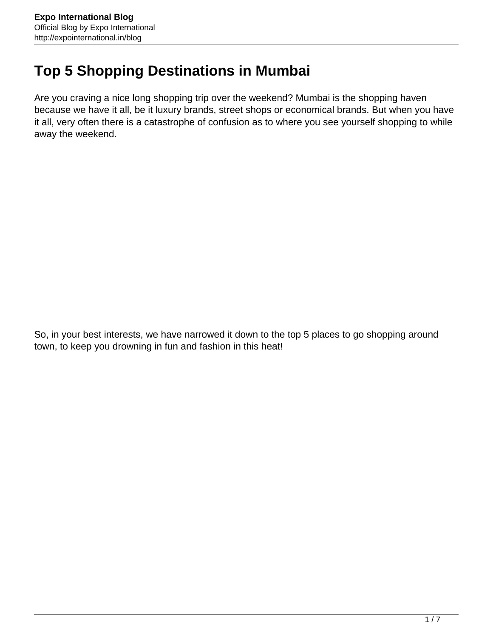# **Top 5 Shopping Destinations in Mumbai**

Are you craving a nice long shopping trip over the weekend? Mumbai is the shopping haven because we have it all, be it luxury brands, street shops or economical brands. But when you have it all, very often there is a catastrophe of confusion as to where you see yourself shopping to while away the weekend.

So, in your best interests, we have narrowed it down to the top 5 places to go shopping around town, to keep you drowning in fun and fashion in this heat!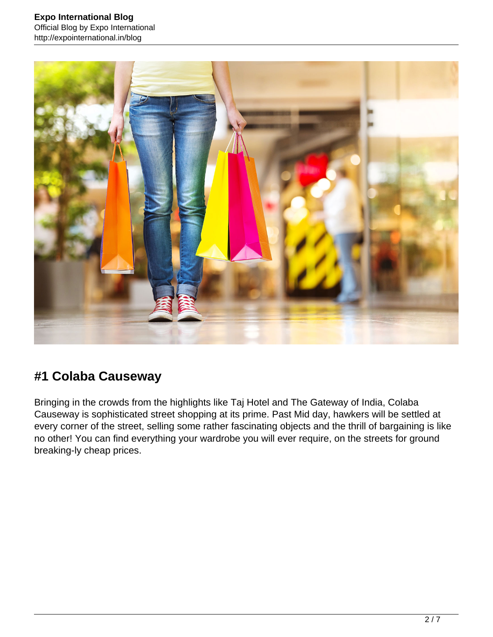

## **#1 Colaba Causeway**

Bringing in the crowds from the highlights like Taj Hotel and The Gateway of India, Colaba Causeway is sophisticated street shopping at its prime. Past Mid day, hawkers will be settled at every corner of the street, selling some rather fascinating objects and the thrill of bargaining is like no other! You can find everything your wardrobe you will ever require, on the streets for ground breaking-ly cheap prices.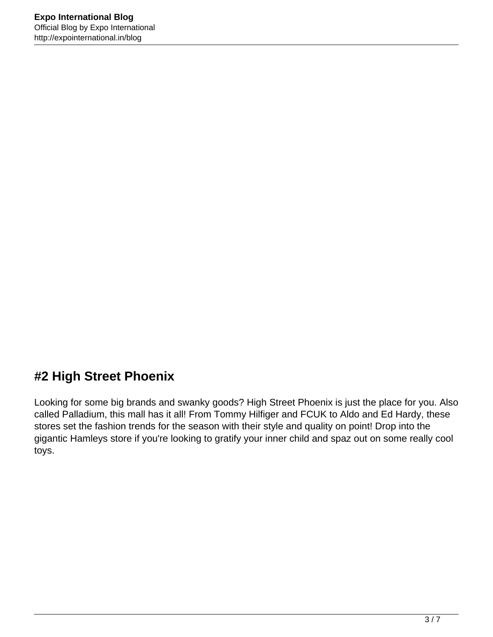## **#2 High Street Phoenix**

Looking for some big brands and swanky goods? High Street Phoenix is just the place for you. Also called Palladium, this mall has it all! From Tommy Hilfiger and FCUK to Aldo and Ed Hardy, these stores set the fashion trends for the season with their style and quality on point! Drop into the gigantic Hamleys store if you're looking to gratify your inner child and spaz out on some really cool toys.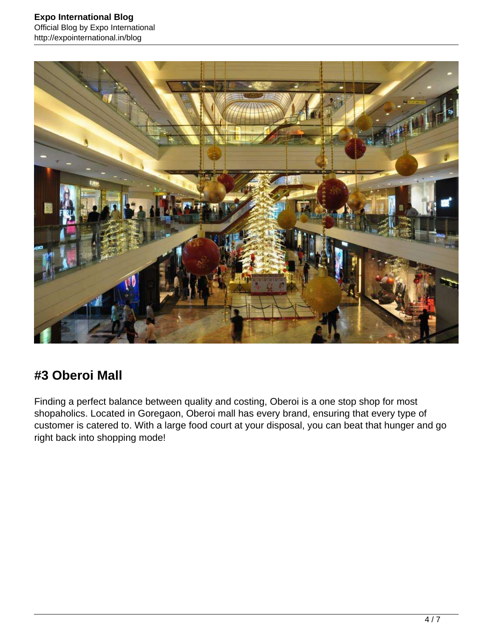

#### **#3 Oberoi Mall**

Finding a perfect balance between quality and costing, Oberoi is a one stop shop for most shopaholics. Located in Goregaon, Oberoi mall has every brand, ensuring that every type of customer is catered to. With a large food court at your disposal, you can beat that hunger and go right back into shopping mode!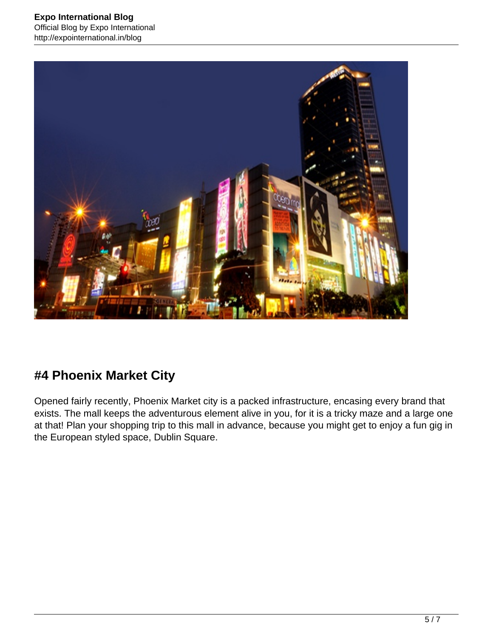

## **#4 Phoenix Market City**

Opened fairly recently, Phoenix Market city is a packed infrastructure, encasing every brand that exists. The mall keeps the adventurous element alive in you, for it is a tricky maze and a large one at that! Plan your shopping trip to this mall in advance, because you might get to enjoy a fun gig in the European styled space, Dublin Square.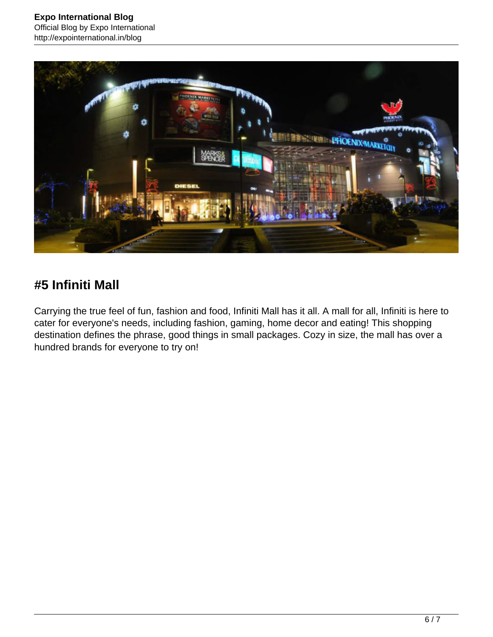

## **#5 Infiniti Mall**

Carrying the true feel of fun, fashion and food, Infiniti Mall has it all. A mall for all, Infiniti is here to cater for everyone's needs, including fashion, gaming, home decor and eating! This shopping destination defines the phrase, good things in small packages. Cozy in size, the mall has over a hundred brands for everyone to try on!